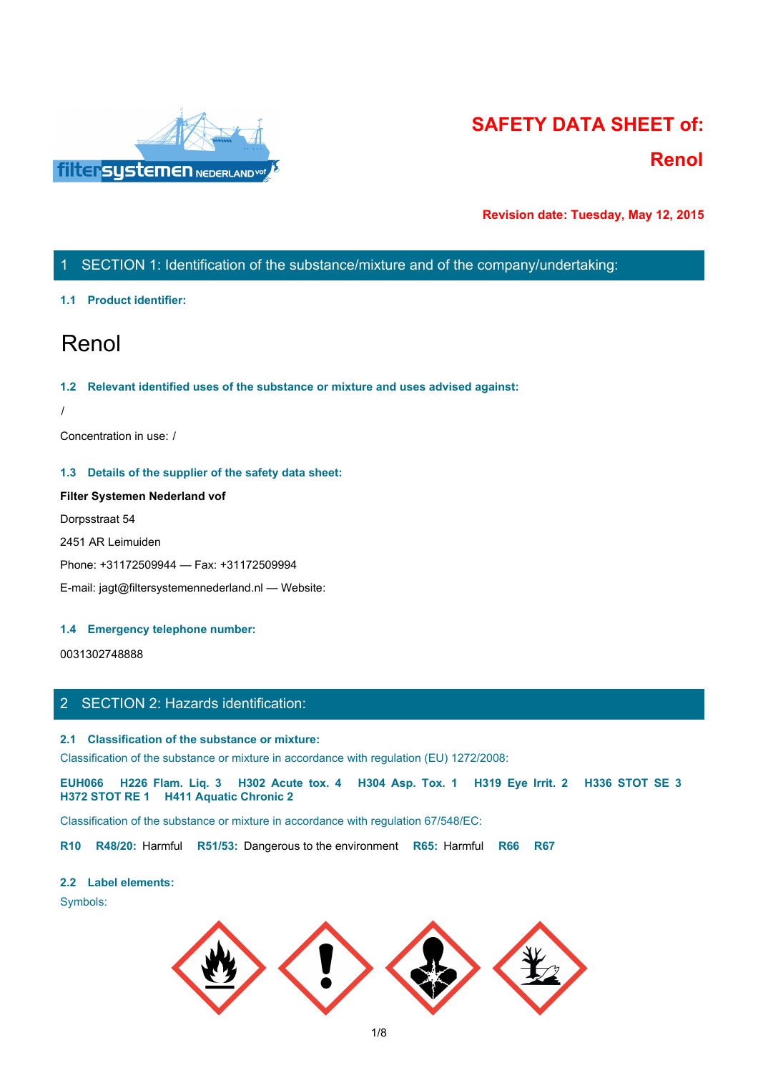

# **SAFETY DATA SHEET of: Renol**

**Revision date: Tuesday, May 12, 2015**

# 1 SECTION 1: Identification of the substance/mixture and of the company/undertaking:

## **1.1 Product identifier:**

# Renol

## **1.2 Relevant identified uses of the substance or mixture and uses advised against:**

/

Concentration in use: /

## **1.3 Details of the supplier of the safety data sheet:**

# **Filter Systemen Nederland vof**

Dorpsstraat 54

2451 AR Leimuiden

Phone: +31172509944 — Fax: +31172509994

E-mail: jagt@filtersystemennederland.nl — Website:

## **1.4 Emergency telephone number:**

0031302748888

## 2 SECTION 2: Hazards identification:

## **2.1 Classification of the substance or mixture:**

Classification of the substance or mixture in accordance with regulation (EU) 1272/2008:

Fig. 2<br> **EUROS STORE ACT ASSEMATE ASSEMATE ASSEMATE ASSEMATE ASSEMATE ASSEMATE AND ASSEMATE CHIRE Systems and Model and Model and Model and Model and Model and Model and Model and Model and H302 Acute to the substance or m H372 STOT RE 1 H411 Aquatic Chronic 2**

Classification of the substance or mixture in accordance with regulation 67/548/EC:

**R10 R48/20:** Harmful **R51/53:** Dangerous to the environment **R65:** Harmful **R66 R67**

#### **2.2 Label elements:**

Symbols:

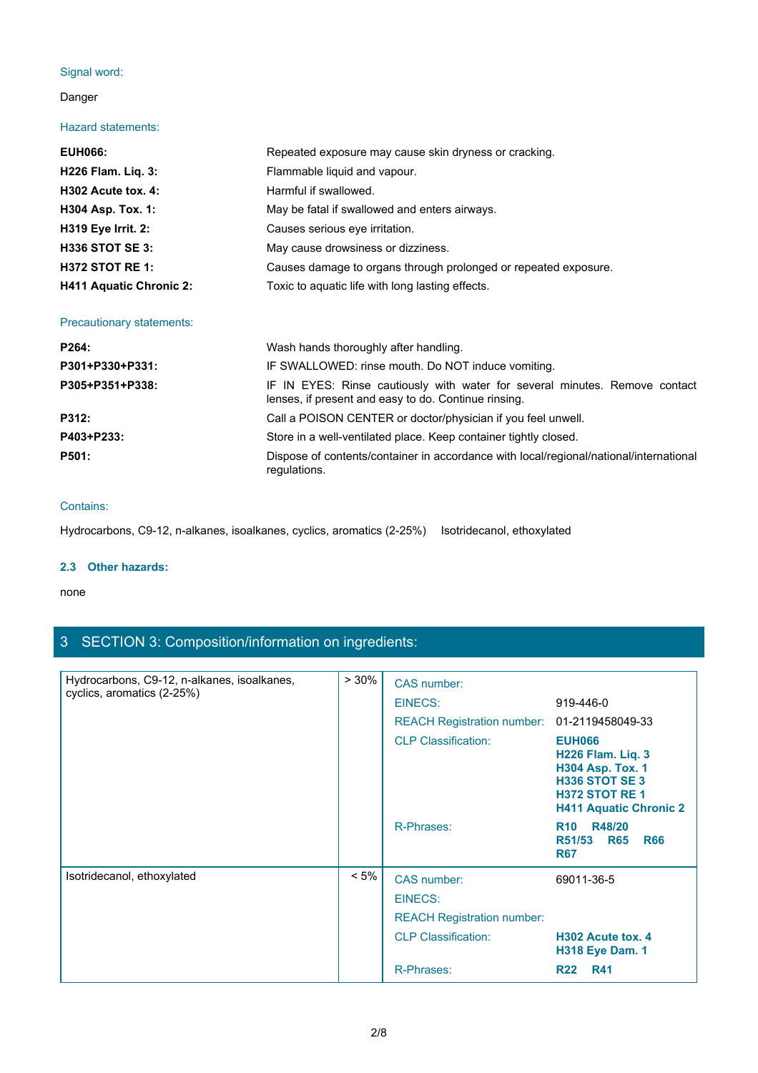## Signal word:

## Danger

## Hazard statements:

| Signal word:<br>Danger<br><b>Hazard statements:</b><br><b>EUH066:</b><br>Repeated exposure may cause skin dryness or cracking.<br>H226 Flam. Liq. 3:<br>Flammable liquid and vapour.<br>H302 Acute tox. 4:<br>Harmful if swallowed.<br>H304 Asp. Tox. 1:<br>May be fatal if swallowed and enters airways.<br>H319 Eye Irrit. 2:<br>Causes serious eye irritation.<br><b>H336 STOT SE 3:</b><br>May cause drowsiness or dizziness.<br><b>H372 STOT RE 1:</b><br>Causes damage to organs through prolonged or repeated exposure.<br>Toxic to aquatic life with long lasting effects.<br><b>H411 Aquatic Chronic 2:</b><br>Precautionary statements:<br>P264:<br>Wash hands thoroughly after handling.<br>P301+P330+P331:<br>IF SWALLOWED: rinse mouth. Do NOT induce vomiting.<br>IF IN EYES: Rinse cautiously with water for several minutes. Remove contact<br>P305+P351+P338:<br>lenses, if present and easy to do. Continue rinsing.<br>P312:<br>Call a POISON CENTER or doctor/physician if you feel unwell.<br>P403+P233:<br>Store in a well-ventilated place. Keep container tightly closed.<br>P501:<br>Dispose of contents/container in accordance with local/regional/national/international |              |  |
|------------------------------------------------------------------------------------------------------------------------------------------------------------------------------------------------------------------------------------------------------------------------------------------------------------------------------------------------------------------------------------------------------------------------------------------------------------------------------------------------------------------------------------------------------------------------------------------------------------------------------------------------------------------------------------------------------------------------------------------------------------------------------------------------------------------------------------------------------------------------------------------------------------------------------------------------------------------------------------------------------------------------------------------------------------------------------------------------------------------------------------------------------------------------------------------------------|--------------|--|
|                                                                                                                                                                                                                                                                                                                                                                                                                                                                                                                                                                                                                                                                                                                                                                                                                                                                                                                                                                                                                                                                                                                                                                                                      |              |  |
|                                                                                                                                                                                                                                                                                                                                                                                                                                                                                                                                                                                                                                                                                                                                                                                                                                                                                                                                                                                                                                                                                                                                                                                                      |              |  |
|                                                                                                                                                                                                                                                                                                                                                                                                                                                                                                                                                                                                                                                                                                                                                                                                                                                                                                                                                                                                                                                                                                                                                                                                      |              |  |
|                                                                                                                                                                                                                                                                                                                                                                                                                                                                                                                                                                                                                                                                                                                                                                                                                                                                                                                                                                                                                                                                                                                                                                                                      |              |  |
|                                                                                                                                                                                                                                                                                                                                                                                                                                                                                                                                                                                                                                                                                                                                                                                                                                                                                                                                                                                                                                                                                                                                                                                                      |              |  |
|                                                                                                                                                                                                                                                                                                                                                                                                                                                                                                                                                                                                                                                                                                                                                                                                                                                                                                                                                                                                                                                                                                                                                                                                      |              |  |
|                                                                                                                                                                                                                                                                                                                                                                                                                                                                                                                                                                                                                                                                                                                                                                                                                                                                                                                                                                                                                                                                                                                                                                                                      |              |  |
|                                                                                                                                                                                                                                                                                                                                                                                                                                                                                                                                                                                                                                                                                                                                                                                                                                                                                                                                                                                                                                                                                                                                                                                                      |              |  |
|                                                                                                                                                                                                                                                                                                                                                                                                                                                                                                                                                                                                                                                                                                                                                                                                                                                                                                                                                                                                                                                                                                                                                                                                      |              |  |
|                                                                                                                                                                                                                                                                                                                                                                                                                                                                                                                                                                                                                                                                                                                                                                                                                                                                                                                                                                                                                                                                                                                                                                                                      |              |  |
|                                                                                                                                                                                                                                                                                                                                                                                                                                                                                                                                                                                                                                                                                                                                                                                                                                                                                                                                                                                                                                                                                                                                                                                                      |              |  |
|                                                                                                                                                                                                                                                                                                                                                                                                                                                                                                                                                                                                                                                                                                                                                                                                                                                                                                                                                                                                                                                                                                                                                                                                      |              |  |
|                                                                                                                                                                                                                                                                                                                                                                                                                                                                                                                                                                                                                                                                                                                                                                                                                                                                                                                                                                                                                                                                                                                                                                                                      |              |  |
|                                                                                                                                                                                                                                                                                                                                                                                                                                                                                                                                                                                                                                                                                                                                                                                                                                                                                                                                                                                                                                                                                                                                                                                                      |              |  |
|                                                                                                                                                                                                                                                                                                                                                                                                                                                                                                                                                                                                                                                                                                                                                                                                                                                                                                                                                                                                                                                                                                                                                                                                      |              |  |
|                                                                                                                                                                                                                                                                                                                                                                                                                                                                                                                                                                                                                                                                                                                                                                                                                                                                                                                                                                                                                                                                                                                                                                                                      |              |  |
|                                                                                                                                                                                                                                                                                                                                                                                                                                                                                                                                                                                                                                                                                                                                                                                                                                                                                                                                                                                                                                                                                                                                                                                                      |              |  |
|                                                                                                                                                                                                                                                                                                                                                                                                                                                                                                                                                                                                                                                                                                                                                                                                                                                                                                                                                                                                                                                                                                                                                                                                      |              |  |
|                                                                                                                                                                                                                                                                                                                                                                                                                                                                                                                                                                                                                                                                                                                                                                                                                                                                                                                                                                                                                                                                                                                                                                                                      |              |  |
|                                                                                                                                                                                                                                                                                                                                                                                                                                                                                                                                                                                                                                                                                                                                                                                                                                                                                                                                                                                                                                                                                                                                                                                                      | regulations. |  |

## Contains:

Hydrocarbons, C9-12, n-alkanes, isoalkanes, cyclics, aromatics (2-25%) Isotridecanol, ethoxylated

## **2.3 Other hazards:**

#### none and the state of the state of the state of the state of the state of the state of the state of the state of the state of the state of the state of the state of the state of the state of the state of the state of the s

# 3 SECTION 3: Composition/information on ingredients:

| Hydrocarbons, C9-12, n-alkanes, isoalkanes, | >30%    | CAS number:                       |                                                                                                                                                 |
|---------------------------------------------|---------|-----------------------------------|-------------------------------------------------------------------------------------------------------------------------------------------------|
| cyclics, aromatics (2-25%)                  |         | EINECS:                           | 919-446-0                                                                                                                                       |
|                                             |         | <b>REACH Registration number:</b> | 01-2119458049-33                                                                                                                                |
|                                             |         | <b>CLP Classification:</b>        | <b>EUH066</b><br>H226 Flam. Liq. 3<br><b>H304 Asp. Tox. 1</b><br><b>H336 STOT SE 3</b><br><b>H372 STOT RE1</b><br><b>H411 Aquatic Chronic 2</b> |
|                                             |         | R-Phrases:                        | R10 R48/20<br>R51/53<br><b>R65</b><br><b>R66</b><br><b>R67</b>                                                                                  |
| Isotridecanol, ethoxylated                  | $< 5\%$ | CAS number:                       | 69011-36-5                                                                                                                                      |
|                                             |         | <b>EINECS:</b>                    |                                                                                                                                                 |
|                                             |         | <b>REACH Registration number:</b> |                                                                                                                                                 |
|                                             |         | <b>CLP Classification:</b>        | H302 Acute tox. 4<br><b>H318 Eye Dam. 1</b>                                                                                                     |
|                                             |         | R-Phrases:                        | <b>R22</b><br><b>R41</b>                                                                                                                        |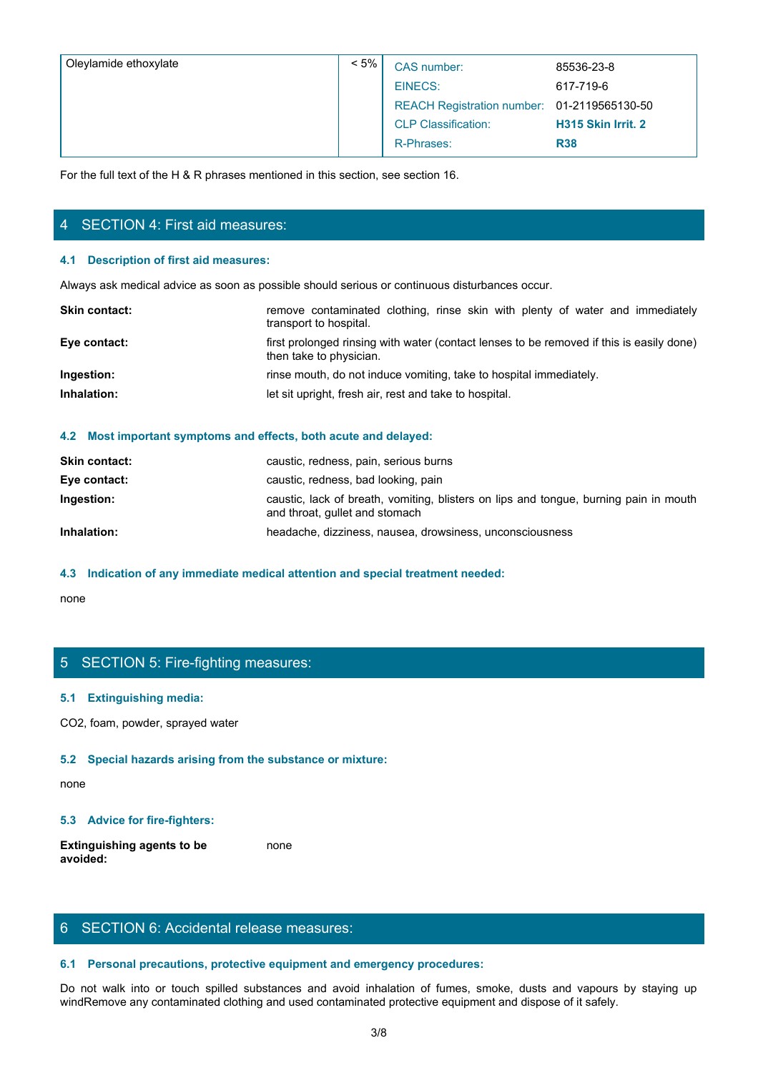| Oleylamide ethoxylate                                                                          | $< 5\%$                 | CAS number:                                                                              | 85536-23-8         |
|------------------------------------------------------------------------------------------------|-------------------------|------------------------------------------------------------------------------------------|--------------------|
|                                                                                                |                         | <b>EINECS:</b>                                                                           | 617-719-6          |
|                                                                                                |                         | <b>REACH Registration number:</b>                                                        | 01-2119565130-50   |
|                                                                                                |                         | <b>CLP Classification:</b>                                                               | H315 Skin Irrit. 2 |
|                                                                                                |                         | R-Phrases:                                                                               | <b>R38</b>         |
| For the full text of the H & R phrases mentioned in this section, see section 16.              |                         |                                                                                          |                    |
|                                                                                                |                         |                                                                                          |                    |
|                                                                                                |                         |                                                                                          |                    |
| 4 SECTION 4: First aid measures:                                                               |                         |                                                                                          |                    |
| 4.1 Description of first aid measures:                                                         |                         |                                                                                          |                    |
| Always ask medical advice as soon as possible should serious or continuous disturbances occur. |                         |                                                                                          |                    |
| Skin contact:                                                                                  | transport to hospital.  | remove contaminated clothing, rinse skin with plenty of water and immediately            |                    |
| Eye contact:                                                                                   | then take to physician. | first prolonged rinsing with water (contact lenses to be removed if this is easily done) |                    |
| Ingestion:                                                                                     |                         | rinse mouth, do not induce vomiting, take to hospital immediately.                       |                    |
| Inhalation:                                                                                    |                         | let sit upright, fresh air, rest and take to hospital.                                   |                    |
|                                                                                                |                         |                                                                                          |                    |

# 4 SECTION 4: First aid measures:

## **4.1 Description of first aid measures:**

| first prolonged rinsing with water (contact lenses to be removed if this is easily done)<br>Eye contact:<br>then take to physician.<br>Ingestion:<br>rinse mouth, do not induce vomiting, take to hospital immediately.<br>Inhalation:<br>let sit upright, fresh air, rest and take to hospital. | <b>Skin contact:</b> | remove contaminated clothing, rinse skin with plenty of water and immediately<br>transport to hospital. |
|--------------------------------------------------------------------------------------------------------------------------------------------------------------------------------------------------------------------------------------------------------------------------------------------------|----------------------|---------------------------------------------------------------------------------------------------------|
|                                                                                                                                                                                                                                                                                                  |                      |                                                                                                         |
|                                                                                                                                                                                                                                                                                                  |                      |                                                                                                         |
|                                                                                                                                                                                                                                                                                                  |                      |                                                                                                         |

#### **4.2 Most important symptoms and effects, both acute and delayed:**

| <b>Skin contact:</b> | caustic, redness, pain, serious burns                                                                                   |
|----------------------|-------------------------------------------------------------------------------------------------------------------------|
| Eye contact:         | caustic, redness, bad looking, pain                                                                                     |
| Ingestion:           | caustic, lack of breath, vomiting, blisters on lips and tongue, burning pain in mouth<br>and throat, gullet and stomach |
| Inhalation:          | headache, dizziness, nausea, drowsiness, unconsciousness                                                                |

## **4.3 Indication of any immediate medical attention and special treatment needed:**

none and the state of the state of the state of the state of the state of the state of the state of the state of the state of the state of the state of the state of the state of the state of the state of the state of the s

# 5 SECTION 5: Fire-fighting measures:

## **5.1 Extinguishing media:**

CO2, foam, powder, sprayed water

## **5.2 Special hazards arising from the substance or mixture:**

none and the state of the state of the state of the state of the state of the state of the state of the state of the state of the state of the state of the state of the state of the state of the state of the state of the s

## **5.3 Advice for fire-fighters:**

**Extinguishing agents to be avoided:** none and the state of the state of the state of the state of the state of the state of the state of the state of the state of the state of the state of the state of the state of the state of the state of the state of the s

# 6 SECTION 6: Accidental release measures:

## **6.1 Personal precautions, protective equipment and emergency procedures:**

none<br>
S. SECTION 5: Fire-fighting measures:<br>
S. S. Extinguishing redia:<br>
S. S. Advice for fire-fighters:<br>
Extinguishing agents to be connected substance or mixture:<br>
S. Advice for fire-fighters:<br>
S. Advice for fire-fighter windRemove any contaminated clothing and used contaminated protective equipment and dispose of it safely.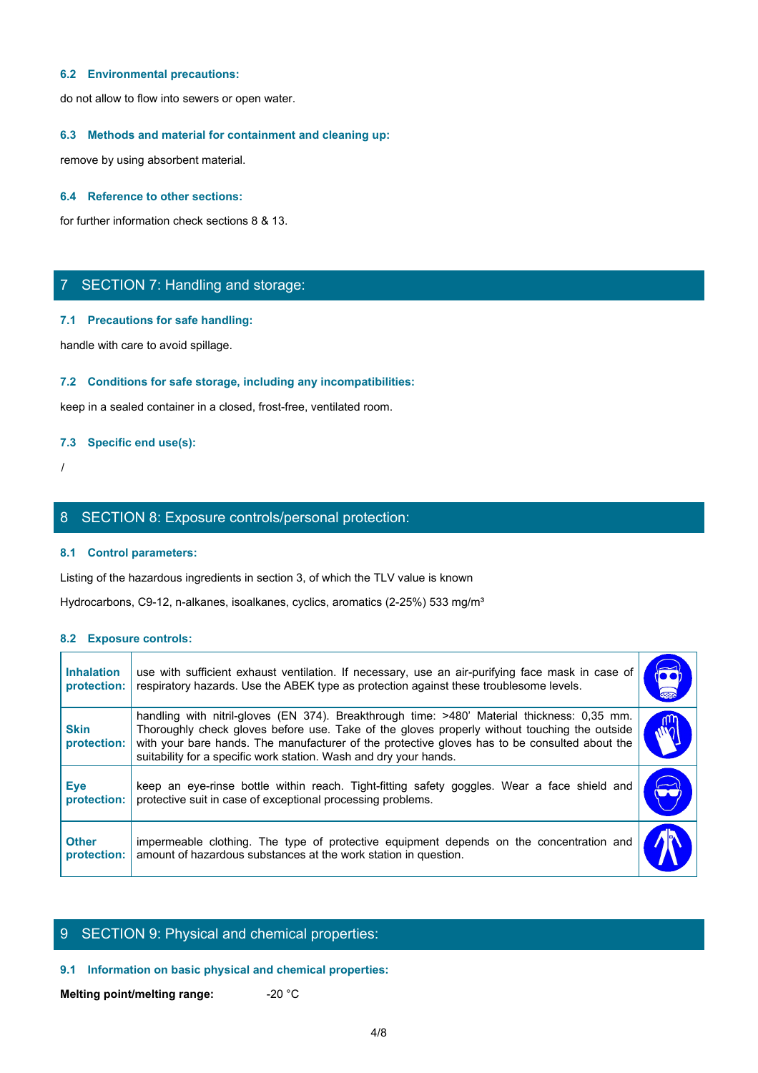#### **6.2 Environmental precautions:**

do not allow to flow into sewers or open water.

## **6.3 Methods and material for containment and cleaning up:**

remove by using absorbent material.

## **6.4 Reference to other sections:**

for further information check sections 8 & 13.

## 7 SECTION 7: Handling and storage:

#### **7.1 Precautions for safe handling:**

## **7.2 Conditions for safe storage, including any incompatibilities:**

## **7.3 Specific end use(s):**

## 8 SECTION 8: Exposure controls/personal protection:

## **8.1 Control parameters:**

## **8.2 Exposure controls:**

|                                  | 7 SECTION 7: Handling and storage:                                                                                                                                                                                                                                                                                                                                |                             |
|----------------------------------|-------------------------------------------------------------------------------------------------------------------------------------------------------------------------------------------------------------------------------------------------------------------------------------------------------------------------------------------------------------------|-----------------------------|
|                                  | 7.1 Precautions for safe handling:                                                                                                                                                                                                                                                                                                                                |                             |
|                                  | handle with care to avoid spillage.                                                                                                                                                                                                                                                                                                                               |                             |
|                                  | 7.2 Conditions for safe storage, including any incompatibilities:                                                                                                                                                                                                                                                                                                 |                             |
|                                  | keep in a sealed container in a closed, frost-free, ventilated room.                                                                                                                                                                                                                                                                                              |                             |
|                                  | 7.3 Specific end use(s):                                                                                                                                                                                                                                                                                                                                          |                             |
|                                  |                                                                                                                                                                                                                                                                                                                                                                   |                             |
|                                  | 8 SECTION 8: Exposure controls/personal protection:                                                                                                                                                                                                                                                                                                               |                             |
|                                  | 8.1 Control parameters:                                                                                                                                                                                                                                                                                                                                           |                             |
|                                  | Listing of the hazardous ingredients in section 3, of which the TLV value is known                                                                                                                                                                                                                                                                                |                             |
|                                  | Hydrocarbons, C9-12, n-alkanes, isoalkanes, cyclics, aromatics (2-25%) 533 mg/m <sup>3</sup>                                                                                                                                                                                                                                                                      |                             |
| 8.2 Exposure controls:           |                                                                                                                                                                                                                                                                                                                                                                   |                             |
| <b>Inhalation</b><br>protection: | use with sufficient exhaust ventilation. If necessary, use an air-purifying face mask in case of<br>respiratory hazards. Use the ABEK type as protection against these troublesome levels.                                                                                                                                                                        | $\overline{\bullet}\bullet$ |
| <b>Skin</b><br>protection:       | handling with nitril-gloves (EN 374). Breakthrough time: >480' Material thickness: 0,35 mm.<br>Thoroughly check gloves before use. Take of the gloves properly without touching the outside<br>with your bare hands. The manufacturer of the protective gloves has to be consulted about the<br>suitability for a specific work station. Wash and dry your hands. | WÓ                          |
| <b>Eye</b><br>protection:        | keep an eye-rinse bottle within reach. Tight-fitting safety goggles. Wear a face shield and<br>protective suit in case of exceptional processing problems.                                                                                                                                                                                                        | $\blacktriangleright$       |
|                                  |                                                                                                                                                                                                                                                                                                                                                                   |                             |

## 9 SECTION 9: Physical and chemical properties:

## **9.1 Information on basic physical and chemical properties:**

**Melting point/melting range:**  $-20$  °C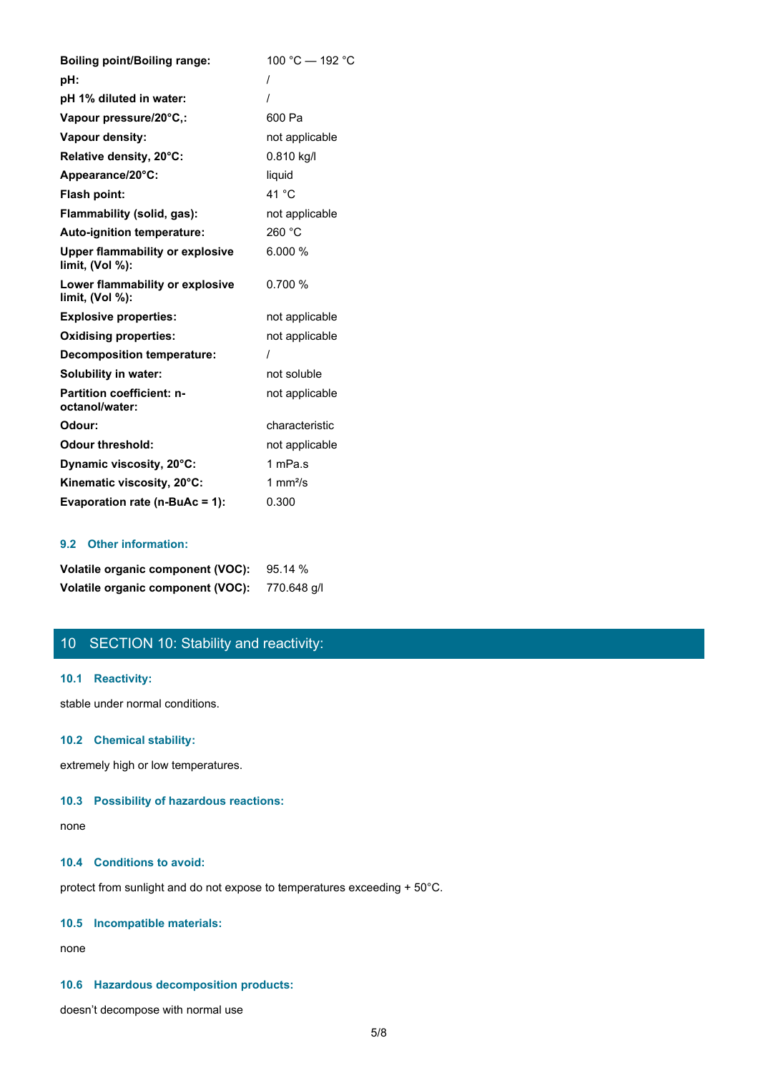| <b>Boiling point/Boiling range:</b>                          | 100 °C - 192 °C    |
|--------------------------------------------------------------|--------------------|
| pH:                                                          |                    |
| pH 1% diluted in water:                                      |                    |
| Vapour pressure/20°C,:                                       | 600 Pa             |
| Vapour density:                                              | not applicable     |
| Relative density, 20°C:                                      | $0.810$ kg/l       |
| Appearance/20°C:                                             | liquid             |
| Flash point:                                                 | 41 °C              |
| Flammability (solid, gas):                                   | not applicable     |
| Auto-ignition temperature:                                   | 260 °C             |
| <b>Upper flammability or explosive</b><br>limit, $(Vol %)$ : | 6.000 %            |
| Lower flammability or explosive<br>limit, (Vol %):           | 0.700 %            |
| <b>Explosive properties:</b>                                 | not applicable     |
| <b>Oxidising properties:</b>                                 | not applicable     |
| <b>Decomposition temperature:</b>                            |                    |
| Solubility in water:                                         | not soluble        |
| Partition coefficient: n-<br>octanol/water:                  | not applicable     |
| Odour:                                                       | characteristic     |
| <b>Odour threshold:</b>                                      | not applicable     |
| Dynamic viscosity, 20°C:                                     | 1 mPa.s            |
| Kinematic viscosity, 20°C:                                   | 1 mm $\frac{2}{s}$ |
| Evaporation rate (n-BuAc = 1):                               | 0.300              |

## **9.2 Other information:**

| Volatile organic component (VOC): 95.14 %     |  |
|-----------------------------------------------|--|
| Volatile organic component (VOC): 770.648 g/l |  |

# 10 SECTION 10: Stability and reactivity:

## **10.1 Reactivity:**

stable under normal conditions.

## **10.2 Chemical stability:**

extremely high or low temperatures.

## **10.3 Possibility of hazardous reactions:**

none and the state of the state of the state of the state of the state of the state of the state of the state of the state of the state of the state of the state of the state of the state of the state of the state of the s

## **10.4 Conditions to avoid:**

protect from sunlight and do not expose to temperatures exceeding + 50°C.

## **10.5 Incompatible materials:**

none and the state of the state of the state of the state of the state of the state of the state of the state of the state of the state of the state of the state of the state of the state of the state of the state of the s

## **10.6 Hazardous decomposition products:**

doesn't decompose with normal use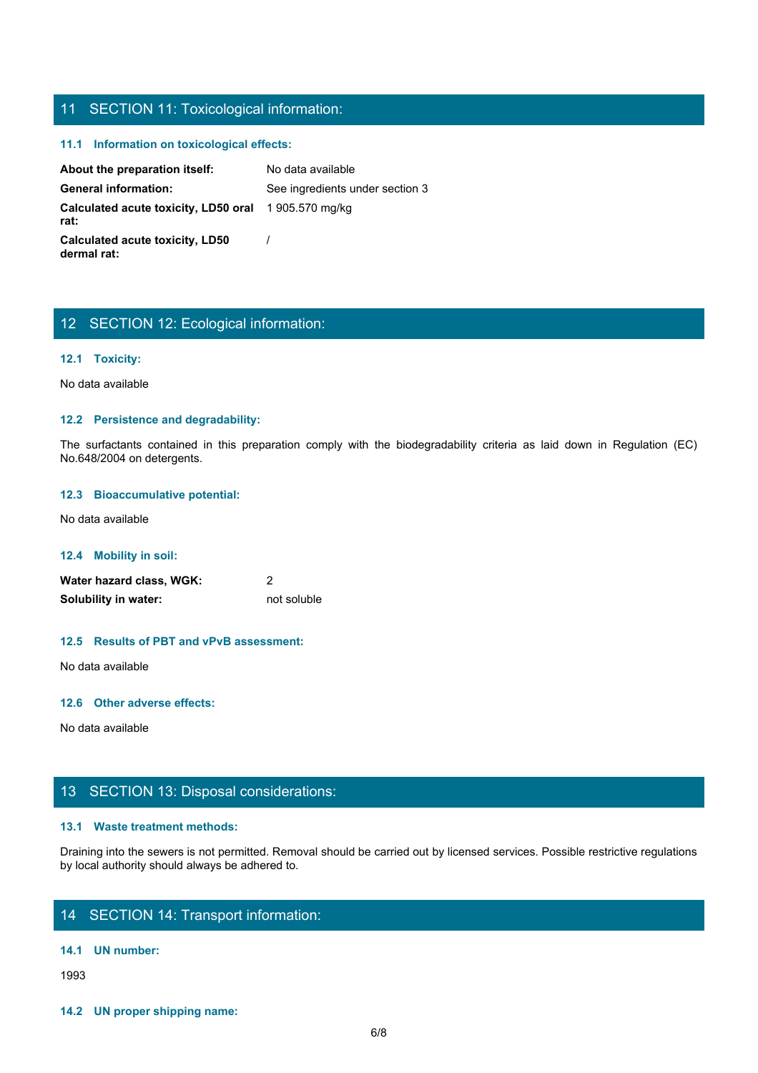## 11 SECTION 11: Toxicological information:

## **11.1 Information on toxicological effects:**

About the preparation itself: No data available General information: See ingredients under section 3 **Calculated acute toxicity, LD50 oral rat:** 1 905.570 mg/kg **Calculated acute toxicity, LD50 dermal rat:** / The surfactants contained in the surfactor of the surfactants contained in the surfactant of the surfactants contained in the surfactor of the surfactor of the surfactor of the biodegradability criteria and the contained a

## 12 SECTION 12: Ecological information:

## **12.1 Toxicity:**

No data available

#### **12.2 Persistence and degradability:**

No.648/2004 on detergents.

## **12.3 Bioaccumulative potential:**

No data available

### **12.4 Mobility in soil:**

**Water hazard class, WGK:** 2 **Solubility in water:** not soluble

#### **12.5 Results of PBT and vPvB assessment:**

No data available

### **12.6 Other adverse effects:**

No data available

## 13 SECTION 13: Disposal considerations:

#### **13.1 Waste treatment methods:**

Draining into the sewers is not permitted. Removal should be carried out by licensed services. Possible restrictive regulations by local authority should always be adhered to.

# 14 SECTION 14: Transport information:

#### **14.1 UN number:**

1993

**14.2 UN proper shipping name:**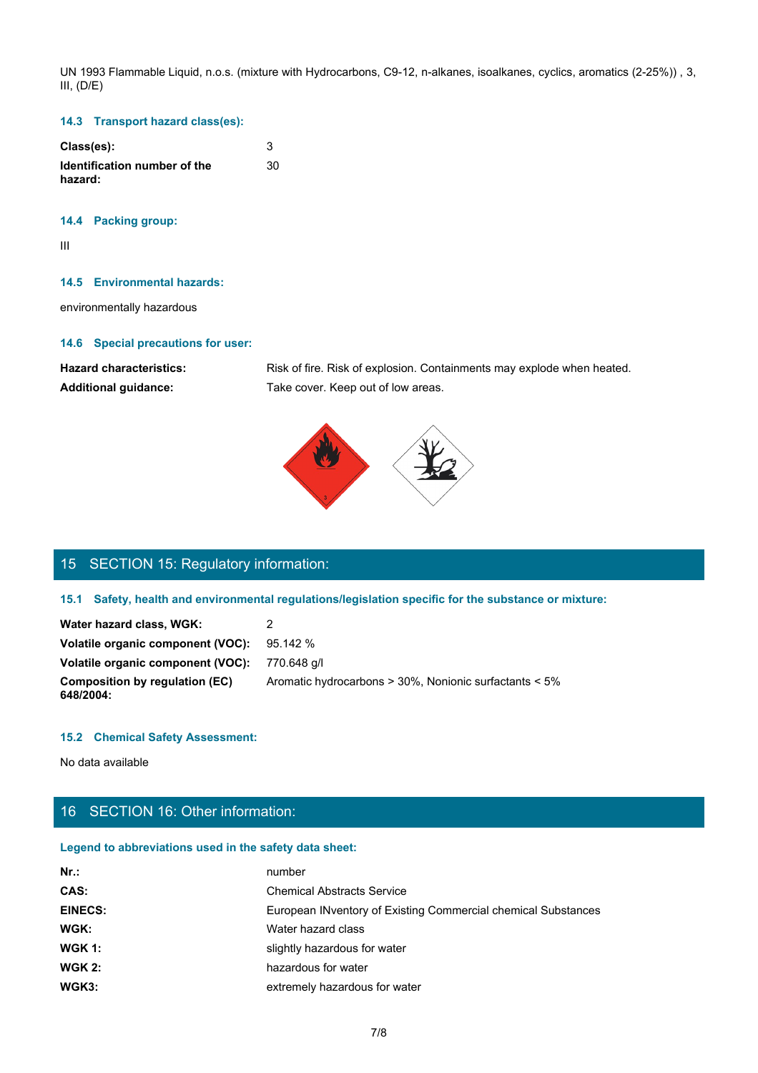UN 1993 Flammable Liquid, n.o.s. (mixture with Hydrocarbons, C9-12, n-alkanes, isoalkanes, cyclics, aromatics (2-25%)) , 3, III, (D/E)

## **14.3 Transport hazard class(es):**

| Class(es):                              |    |
|-----------------------------------------|----|
| Identification number of the<br>hazard: | 30 |

## **14.4 Packing group:**

III

#### **14.5 Environmental hazards:**

environmentally hazardous

#### **14.6 Special precautions for user:**

Hazard characteristics: Risk of fire. Risk of explosion. Containments may explode when heated. **Additional guidance:** Take cover. Keep out of low areas.



# 15 SECTION 15: Regulatory information:

## **15.1 Safety, health and environmental regulations/legislation specific for the substance or mixture:**

| Water hazard class, WGK:                    |                                                        |
|---------------------------------------------|--------------------------------------------------------|
| Volatile organic component (VOC):           | 95.142 %                                               |
| Volatile organic component (VOC):           | 770.648 a/l                                            |
| Composition by regulation (EC)<br>648/2004: | Aromatic hydrocarbons > 30%, Nonionic surfactants < 5% |

## **15.2 Chemical Safety Assessment:**

No data available

# 16 SECTION 16: Other information:

## **Legend to abbreviations used in the safety data sheet:**

| Nr.            | number                                                        |
|----------------|---------------------------------------------------------------|
| CAS:           | <b>Chemical Abstracts Service</b>                             |
| <b>EINECS:</b> | European INventory of Existing Commercial chemical Substances |
| WGK:           | Water hazard class                                            |
| $W$ GK 1:      | slightly hazardous for water                                  |
| $W$ GK 2:      | hazardous for water                                           |
| WGK3:          | extremely hazardous for water                                 |